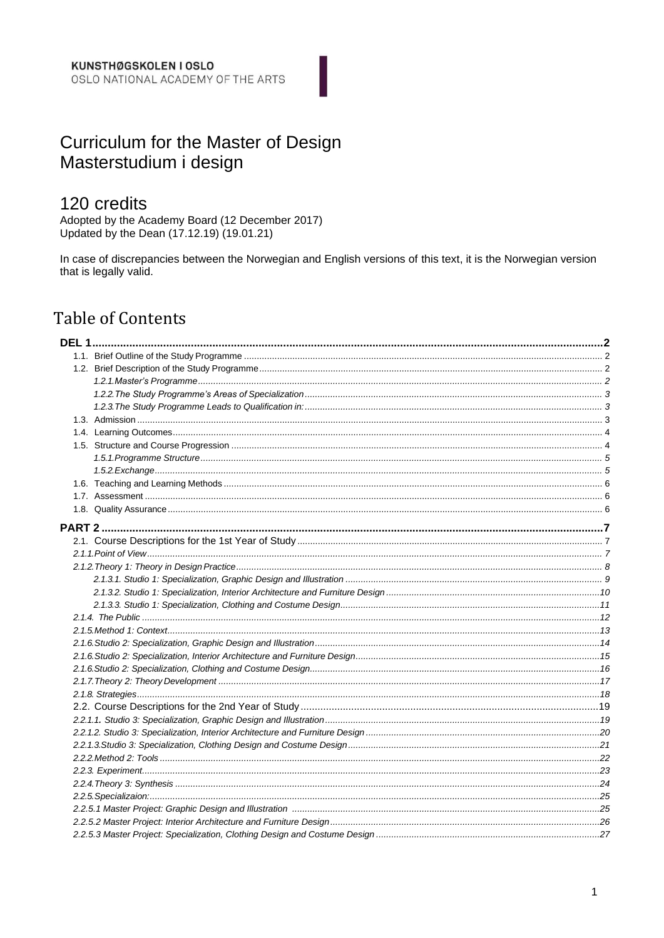# Curriculum for the Master of Design Masterstudium i design

# 120 credits

Adopted by the Academy Board (12 December 2017) Updated by the Dean (17.12.19) (19.01.21)

In case of discrepancies between the Norwegian and English versions of this text, it is the Norwegian version that is legally valid.

# **Table of Contents**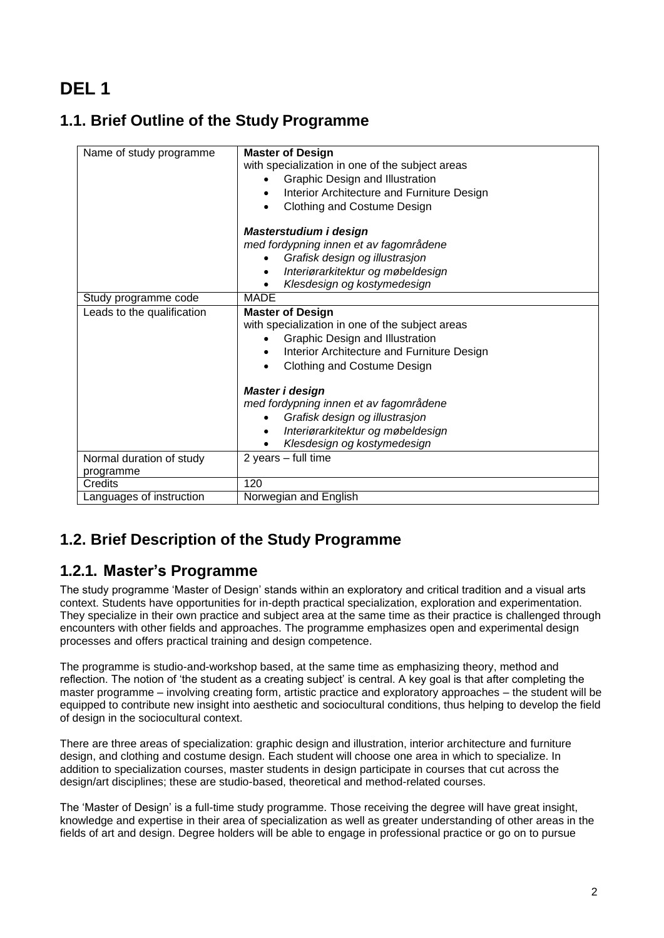# <span id="page-1-0"></span>**DEL 1**

# <span id="page-1-1"></span>**1.1. Brief Outline of the Study Programme**

| Name of study programme    | <b>Master of Design</b><br>with specialization in one of the subject areas<br>Graphic Design and Illustration |
|----------------------------|---------------------------------------------------------------------------------------------------------------|
|                            | Interior Architecture and Furniture Design                                                                    |
|                            | Clothing and Costume Design                                                                                   |
|                            | Masterstudium i design                                                                                        |
|                            | med fordypning innen et av fagområdene                                                                        |
|                            | Grafisk design og illustrasjon                                                                                |
|                            | Interiørarkitektur og møbeldesign<br>٠                                                                        |
|                            | Klesdesign og kostymedesign                                                                                   |
| Study programme code       | <b>MADE</b>                                                                                                   |
| Leads to the qualification | <b>Master of Design</b>                                                                                       |
|                            | with specialization in one of the subject areas                                                               |
|                            | Graphic Design and Illustration                                                                               |
|                            | Interior Architecture and Furniture Design<br>٠                                                               |
|                            | Clothing and Costume Design                                                                                   |
|                            | Master i design                                                                                               |
|                            | med fordypning innen et av fagområdene                                                                        |
|                            | Grafisk design og illustrasjon                                                                                |
|                            | Interiørarkitektur og møbeldesign<br>٠                                                                        |
|                            | Klesdesign og kostymedesign<br>٠                                                                              |
| Normal duration of study   | 2 years - full time                                                                                           |
| programme                  |                                                                                                               |
| Credits                    | 120                                                                                                           |
| Languages of instruction   | Norwegian and English                                                                                         |

# <span id="page-1-2"></span>**1.2. Brief Description of the Study Programme**

# <span id="page-1-3"></span>**1.2.1. Master's Programme**

The study programme 'Master of Design' stands within an exploratory and critical tradition and a visual arts context. Students have opportunities for in-depth practical specialization, exploration and experimentation. They specialize in their own practice and subject area at the same time as their practice is challenged through encounters with other fields and approaches. The programme emphasizes open and experimental design processes and offers practical training and design competence.

The programme is studio-and-workshop based, at the same time as emphasizing theory, method and reflection. The notion of 'the student as a creating subject' is central. A key goal is that after completing the master programme – involving creating form, artistic practice and exploratory approaches – the student will be equipped to contribute new insight into aesthetic and sociocultural conditions, thus helping to develop the field of design in the sociocultural context.

There are three areas of specialization: graphic design and illustration, interior architecture and furniture design, and clothing and costume design. Each student will choose one area in which to specialize. In addition to specialization courses, master students in design participate in courses that cut across the design/art disciplines; these are studio-based, theoretical and method-related courses.

The 'Master of Design' is a full-time study programme. Those receiving the degree will have great insight, knowledge and expertise in their area of specialization as well as greater understanding of other areas in the fields of art and design. Degree holders will be able to engage in professional practice or go on to pursue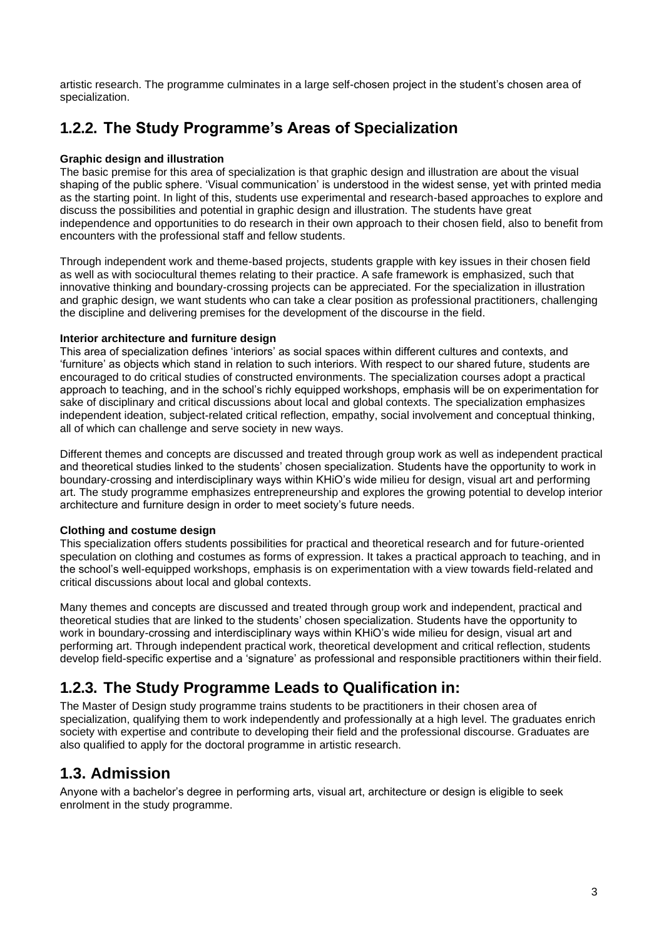artistic research. The programme culminates in a large self-chosen project in the student's chosen area of specialization.

# <span id="page-2-0"></span>**1.2.2. The Study Programme's Areas of Specialization**

#### **Graphic design and illustration**

The basic premise for this area of specialization is that graphic design and illustration are about the visual shaping of the public sphere. 'Visual communication' is understood in the widest sense, yet with printed media as the starting point. In light of this, students use experimental and research-based approaches to explore and discuss the possibilities and potential in graphic design and illustration. The students have great independence and opportunities to do research in their own approach to their chosen field, also to benefit from encounters with the professional staff and fellow students.

Through independent work and theme-based projects, students grapple with key issues in their chosen field as well as with sociocultural themes relating to their practice. A safe framework is emphasized, such that innovative thinking and boundary-crossing projects can be appreciated. For the specialization in illustration and graphic design, we want students who can take a clear position as professional practitioners, challenging the discipline and delivering premises for the development of the discourse in the field.

#### **Interior architecture and furniture design**

This area of specialization defines 'interiors' as social spaces within different cultures and contexts, and 'furniture' as objects which stand in relation to such interiors. With respect to our shared future, students are encouraged to do critical studies of constructed environments. The specialization courses adopt a practical approach to teaching, and in the school's richly equipped workshops, emphasis will be on experimentation for sake of disciplinary and critical discussions about local and global contexts. The specialization emphasizes independent ideation, subject-related critical reflection, empathy, social involvement and conceptual thinking, all of which can challenge and serve society in new ways.

Different themes and concepts are discussed and treated through group work as well as independent practical and theoretical studies linked to the students' chosen specialization. Students have the opportunity to work in boundary-crossing and interdisciplinary ways within KHiO's wide milieu for design, visual art and performing art. The study programme emphasizes entrepreneurship and explores the growing potential to develop interior architecture and furniture design in order to meet society's future needs.

#### **Clothing and costume design**

This specialization offers students possibilities for practical and theoretical research and for future-oriented speculation on clothing and costumes as forms of expression. It takes a practical approach to teaching, and in the school's well-equipped workshops, emphasis is on experimentation with a view towards field-related and critical discussions about local and global contexts.

Many themes and concepts are discussed and treated through group work and independent, practical and theoretical studies that are linked to the students' chosen specialization. Students have the opportunity to work in boundary-crossing and interdisciplinary ways within KHiO's wide milieu for design, visual art and performing art. Through independent practical work, theoretical development and critical reflection, students develop field-specific expertise and a 'signature' as professional and responsible practitioners within their field.

# <span id="page-2-1"></span>**1.2.3. The Study Programme Leads to Qualification in:**

The Master of Design study programme trains students to be practitioners in their chosen area of specialization, qualifying them to work independently and professionally at a high level. The graduates enrich society with expertise and contribute to developing their field and the professional discourse. Graduates are also qualified to apply for the doctoral programme in artistic research.

### <span id="page-2-2"></span>**1.3. Admission**

Anyone with a bachelor's degree in performing arts, visual art, architecture or design is eligible to seek enrolment in the study programme.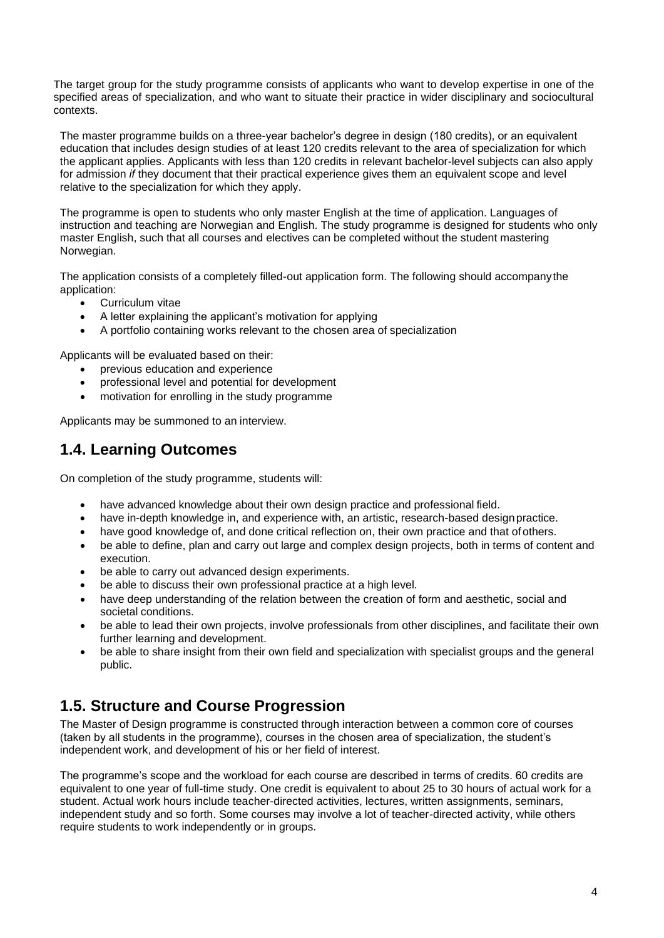The target group for the study programme consists of applicants who want to develop expertise in one of the specified areas of specialization, and who want to situate their practice in wider disciplinary and sociocultural contexts.

The master programme builds on a three-year bachelor's degree in design (180 credits), or an equivalent education that includes design studies of at least 120 credits relevant to the area of specialization for which the applicant applies. Applicants with less than 120 credits in relevant bachelor-level subjects can also apply for admission *if* they document that their practical experience gives them an equivalent scope and level relative to the specialization for which they apply.

The programme is open to students who only master English at the time of application. Languages of instruction and teaching are Norwegian and English. The study programme is designed for students who only master English, such that all courses and electives can be completed without the student mastering Norwegian.

The application consists of a completely filled-out application form. The following should accompanythe application:

- Curriculum vitae
- A letter explaining the applicant's motivation for applying
- A portfolio containing works relevant to the chosen area of specialization

Applicants will be evaluated based on their:

- previous education and experience
- professional level and potential for development
- motivation for enrolling in the study programme

Applicants may be summoned to an interview.

# <span id="page-3-0"></span>**1.4. Learning Outcomes**

On completion of the study programme, students will:

- have advanced knowledge about their own design practice and professional field.
- have in-depth knowledge in, and experience with, an artistic, research-based design practice.
- have good knowledge of, and done critical reflection on, their own practice and that of others.
- be able to define, plan and carry out large and complex design projects, both in terms of content and execution.
- be able to carry out advanced design experiments.
- be able to discuss their own professional practice at a high level.
- have deep understanding of the relation between the creation of form and aesthetic, social and societal conditions.
- be able to lead their own projects, involve professionals from other disciplines, and facilitate their own further learning and development.
- be able to share insight from their own field and specialization with specialist groups and the general public.

# <span id="page-3-1"></span>**1.5. Structure and Course Progression**

The Master of Design programme is constructed through interaction between a common core of courses (taken by all students in the programme), courses in the chosen area of specialization, the student's independent work, and development of his or her field of interest.

The programme's scope and the workload for each course are described in terms of credits. 60 credits are equivalent to one year of full-time study. One credit is equivalent to about 25 to 30 hours of actual work for a student. Actual work hours include teacher-directed activities, lectures, written assignments, seminars, independent study and so forth. Some courses may involve a lot of teacher-directed activity, while others require students to work independently or in groups.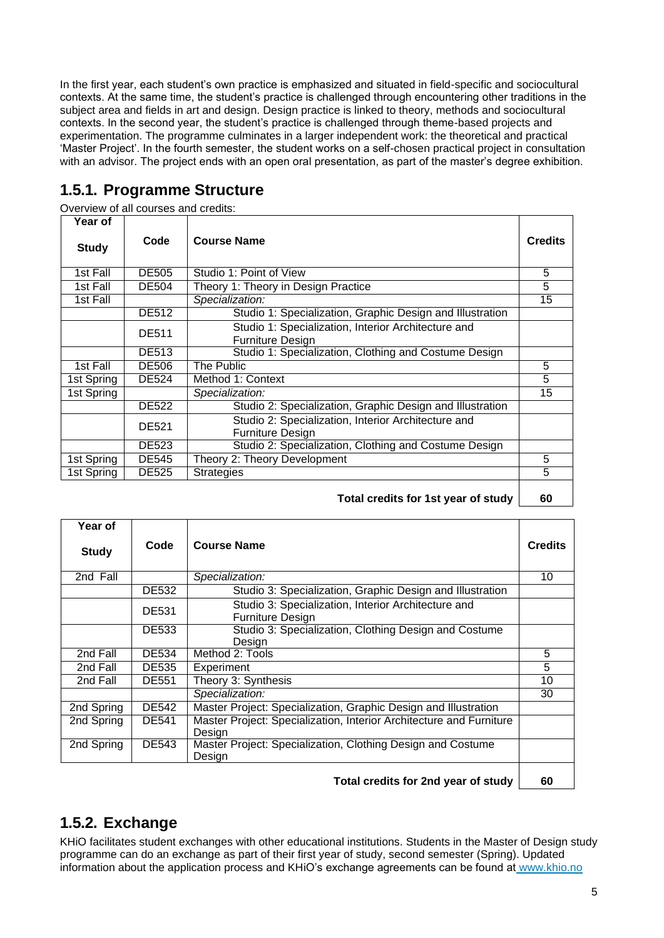In the first year, each student's own practice is emphasized and situated in field-specific and sociocultural contexts. At the same time, the student's practice is challenged through encountering other traditions in the subject area and fields in art and design. Design practice is linked to theory, methods and sociocultural contexts. In the second year, the student's practice is challenged through theme-based projects and experimentation. The programme culminates in a larger independent work: the theoretical and practical 'Master Project'. In the fourth semester, the student works on a self-chosen practical project in consultation with an advisor. The project ends with an open oral presentation, as part of the master's degree exhibition.

# <span id="page-4-0"></span>**1.5.1. Programme Structure**

Overview of all courses and credits:

| Year of      |              |                                                                                |                |
|--------------|--------------|--------------------------------------------------------------------------------|----------------|
| <b>Study</b> | Code         | <b>Course Name</b>                                                             | <b>Credits</b> |
| 1st Fall     | <b>DE505</b> | Studio 1: Point of View                                                        | 5              |
| 1st Fall     | <b>DE504</b> | Theory 1: Theory in Design Practice                                            | 5              |
| 1st Fall     |              | Specialization:                                                                | 15             |
|              | <b>DE512</b> | Studio 1: Specialization, Graphic Design and Illustration                      |                |
|              | <b>DE511</b> | Studio 1: Specialization, Interior Architecture and<br><b>Furniture Design</b> |                |
|              | <b>DE513</b> | Studio 1: Specialization, Clothing and Costume Design                          |                |
| 1st Fall     | <b>DE506</b> | The Public                                                                     | 5              |
| 1st Spring   | <b>DE524</b> | Method 1: Context                                                              | 5              |
| 1st Spring   |              | Specialization:                                                                | 15             |
|              | <b>DE522</b> | Studio 2: Specialization, Graphic Design and Illustration                      |                |
|              | <b>DE521</b> | Studio 2: Specialization, Interior Architecture and<br><b>Furniture Design</b> |                |
|              | <b>DE523</b> | Studio 2: Specialization, Clothing and Costume Design                          |                |
| 1st Spring   | <b>DE545</b> | Theory 2: Theory Development                                                   | 5              |
| 1st Spring   | <b>DE525</b> | <b>Strategies</b>                                                              | 5              |
|              |              |                                                                                |                |

**Total credits for 1st year of study 60**

| Year of      |              |                                                                               |                |
|--------------|--------------|-------------------------------------------------------------------------------|----------------|
| <b>Study</b> | Code         | <b>Course Name</b>                                                            | <b>Credits</b> |
| 2nd Fall     |              | Specialization:                                                               | 10             |
|              | <b>DE532</b> | Studio 3: Specialization, Graphic Design and Illustration                     |                |
|              | <b>DE531</b> | Studio 3: Specialization, Interior Architecture and<br>Furniture Design       |                |
|              | <b>DE533</b> | Studio 3: Specialization, Clothing Design and Costume<br>Design               |                |
| 2nd Fall     | DE534        | Method 2: Tools                                                               | 5              |
| 2nd Fall     | DE535        | Experiment                                                                    | 5              |
| 2nd Fall     | <b>DE551</b> | Theory 3: Synthesis                                                           | 10             |
|              |              | Specialization:                                                               | 30             |
| 2nd Spring   | <b>DE542</b> | Master Project: Specialization, Graphic Design and Illustration               |                |
| 2nd Spring   | <b>DE541</b> | Master Project: Specialization, Interior Architecture and Furniture<br>Desian |                |
| 2nd Spring   | <b>DE543</b> | Master Project: Specialization, Clothing Design and Costume<br>Design         |                |
|              |              |                                                                               |                |

**Total credits for 2nd year of study 60**

# <span id="page-4-1"></span>**1.5.2. Exchange**

KHiO facilitates student exchanges with other educational institutions. Students in the Master of Design study programme can do an exchange as part of their first year of study, second semester (Spring). Updated information about the application process and KHiO's exchange agreements can be found at [www.khio.no](http://www.khio.no/)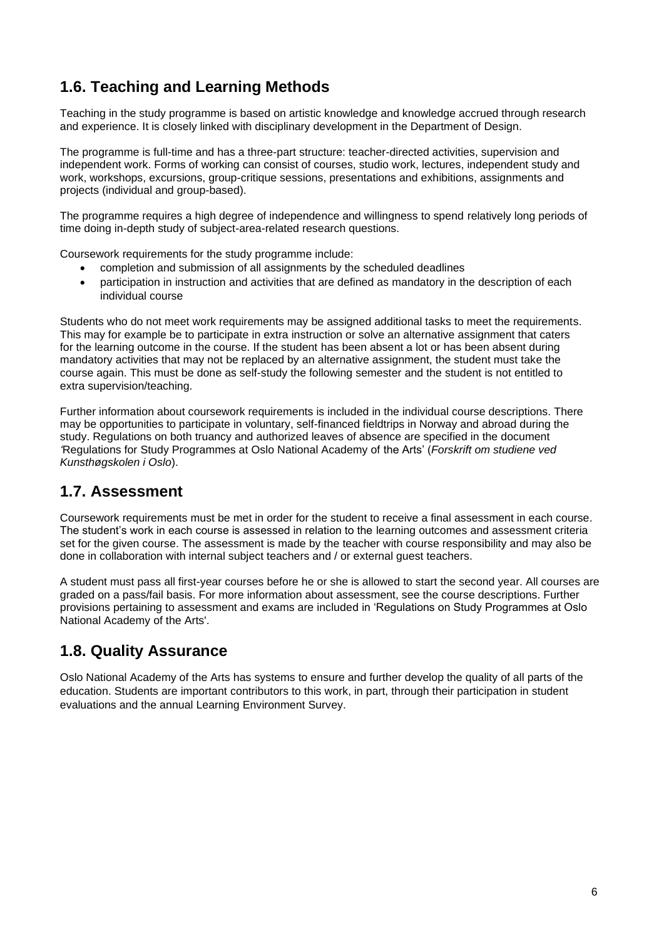# <span id="page-5-0"></span>**1.6. Teaching and Learning Methods**

Teaching in the study programme is based on artistic knowledge and knowledge accrued through research and experience. It is closely linked with disciplinary development in the Department of Design.

The programme is full-time and has a three-part structure: teacher-directed activities, supervision and independent work. Forms of working can consist of courses, studio work, lectures, independent study and work, workshops, excursions, group-critique sessions, presentations and exhibitions, assignments and projects (individual and group-based).

The programme requires a high degree of independence and willingness to spend relatively long periods of time doing in-depth study of subject-area-related research questions.

Coursework requirements for the study programme include:

- completion and submission of all assignments by the scheduled deadlines
- participation in instruction and activities that are defined as mandatory in the description of each individual course

Students who do not meet work requirements may be assigned additional tasks to meet the requirements. This may for example be to participate in extra instruction or solve an alternative assignment that caters for the learning outcome in the course. If the student has been absent a lot or has been absent during mandatory activities that may not be replaced by an alternative assignment, the student must take the course again. This must be done as self-study the following semester and the student is not entitled to extra supervision/teaching.

Further information about coursework requirements is included in the individual course descriptions. There may be opportunities to participate in voluntary, self-financed fieldtrips in Norway and abroad during the study. Regulations on both truancy and authorized leaves of absence are specified in the document *'*Regulations for Study Programmes at Oslo National Academy of the Arts' (*Forskrift om studiene ved Kunsthøgskolen i Oslo*).

# <span id="page-5-1"></span>**1.7. Assessment**

Coursework requirements must be met in order for the student to receive a final assessment in each course. The student's work in each course is assessed in relation to the learning outcomes and assessment criteria set for the given course. The assessment is made by the teacher with course responsibility and may also be done in collaboration with internal subject teachers and / or external guest teachers.

A student must pass all first-year courses before he or she is allowed to start the second year. All courses are graded on a pass/fail basis. For more information about assessment, see the course descriptions. Further provisions pertaining to assessment and exams are included in 'Regulations on Study Programmes at Oslo National Academy of the Arts'.

# <span id="page-5-2"></span>**1.8. Quality Assurance**

Oslo National Academy of the Arts has systems to ensure and further develop the quality of all parts of the education. Students are important contributors to this work, in part, through their participation in student evaluations and the annual Learning Environment Survey.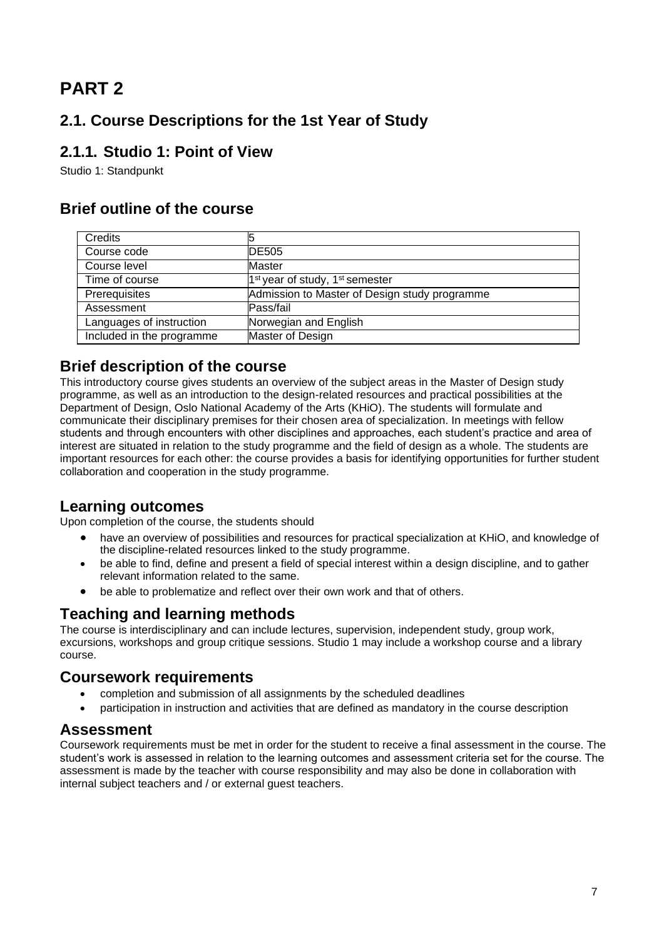# <span id="page-6-0"></span>**PART 2**

# <span id="page-6-1"></span>**2.1. Course Descriptions for the 1st Year of Study**

# <span id="page-6-2"></span>**2.1.1. Studio 1: Point of View**

Studio 1: Standpunkt

# **Brief outline of the course**

| <b>Credits</b>            | 5                                                       |
|---------------------------|---------------------------------------------------------|
| Course code               | <b>IDE505</b>                                           |
| Course level              | <b>Master</b>                                           |
| Time of course            | 1 <sup>st</sup> year of study, 1 <sup>st</sup> semester |
| Prerequisites             | Admission to Master of Design study programme           |
| Assessment                | Pass/fail                                               |
| Languages of instruction  | Norwegian and English                                   |
| Included in the programme | Master of Design                                        |
|                           |                                                         |

### **Brief description of the course**

This introductory course gives students an overview of the subject areas in the Master of Design study programme, as well as an introduction to the design-related resources and practical possibilities at the Department of Design, Oslo National Academy of the Arts (KHiO). The students will formulate and communicate their disciplinary premises for their chosen area of specialization. In meetings with fellow students and through encounters with other disciplines and approaches, each student's practice and area of interest are situated in relation to the study programme and the field of design as a whole. The students are important resources for each other: the course provides a basis for identifying opportunities for further student collaboration and cooperation in the study programme.

# **Learning outcomes**

Upon completion of the course, the students should

- have an overview of possibilities and resources for practical specialization at KHiO, and knowledge of the discipline-related resources linked to the study programme.
- be able to find, define and present a field of special interest within a design discipline, and to gather relevant information related to the same.
- be able to problematize and reflect over their own work and that of others.

# **Teaching and learning methods**

The course is interdisciplinary and can include lectures, supervision, independent study, group work, excursions, workshops and group critique sessions. Studio 1 may include a workshop course and a library course.

# **Coursework requirements**

- completion and submission of all assignments by the scheduled deadlines
- participation in instruction and activities that are defined as mandatory in the course description

# **Assessment**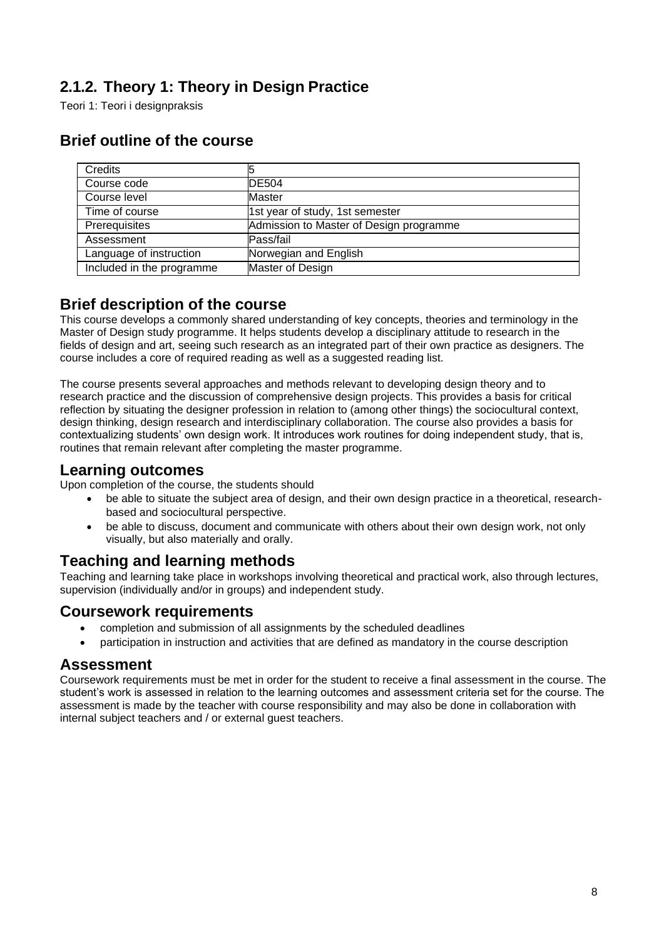# <span id="page-7-0"></span>**2.1.2. Theory 1: Theory in Design Practice**

Teori 1: Teori i designpraksis

| <b>Credits</b>            |                                         |
|---------------------------|-----------------------------------------|
| Course code               | <b>DE504</b>                            |
| Course level              | <b>Master</b>                           |
| Time of course            | 1st year of study, 1st semester         |
| Prerequisites             | Admission to Master of Design programme |
| Assessment                | Pass/fail                               |
| Language of instruction   | Norwegian and English                   |
| Included in the programme | Master of Design                        |

# **Brief outline of the course**

### **Brief description of the course**

This course develops a commonly shared understanding of key concepts, theories and terminology in the Master of Design study programme. It helps students develop a disciplinary attitude to research in the fields of design and art, seeing such research as an integrated part of their own practice as designers. The course includes a core of required reading as well as a suggested reading list.

The course presents several approaches and methods relevant to developing design theory and to research practice and the discussion of comprehensive design projects. This provides a basis for critical reflection by situating the designer profession in relation to (among other things) the sociocultural context, design thinking, design research and interdisciplinary collaboration. The course also provides a basis for contextualizing students' own design work. It introduces work routines for doing independent study, that is, routines that remain relevant after completing the master programme.

#### **Learning outcomes**

Upon completion of the course, the students should

- be able to situate the subject area of design, and their own design practice in a theoretical, researchbased and sociocultural perspective.
- be able to discuss, document and communicate with others about their own design work, not only visually, but also materially and orally.

# **Teaching and learning methods**

Teaching and learning take place in workshops involving theoretical and practical work, also through lectures, supervision (individually and/or in groups) and independent study.

### **Coursework requirements**

- completion and submission of all assignments by the scheduled deadlines
- participation in instruction and activities that are defined as mandatory in the course description

#### **Assessment**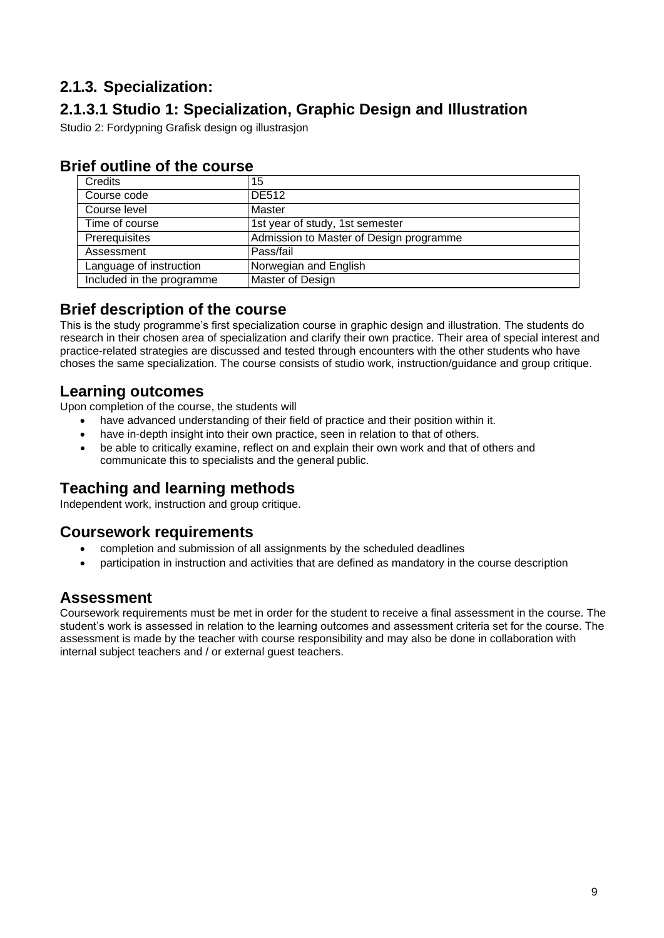# <span id="page-8-0"></span>**2.1.3. Specialization:**

# **2.1.3.1 Studio 1: Specialization, Graphic Design and Illustration**

Studio 2: Fordypning Grafisk design og illustrasjon

| Credits                   | 15                                      |
|---------------------------|-----------------------------------------|
| Course code               | <b>DE512</b>                            |
| Course level              | Master                                  |
| Time of course            | 1st year of study, 1st semester         |
| Prerequisites             | Admission to Master of Design programme |
| Assessment                | Pass/fail                               |
| Language of instruction   | Norwegian and English                   |
| Included in the programme | Master of Design                        |

# **Brief outline of the course**

### **Brief description of the course**

This is the study programme's first specialization course in graphic design and illustration. The students do research in their chosen area of specialization and clarify their own practice. Their area of special interest and practice-related strategies are discussed and tested through encounters with the other students who have choses the same specialization. The course consists of studio work, instruction/guidance and group critique.

### **Learning outcomes**

Upon completion of the course, the students will

- have advanced understanding of their field of practice and their position within it.
- have in-depth insight into their own practice, seen in relation to that of others.
- be able to critically examine, reflect on and explain their own work and that of others and communicate this to specialists and the general public.

### **Teaching and learning methods**

Independent work, instruction and group critique.

### **Coursework requirements**

- completion and submission of all assignments by the scheduled deadlines
- participation in instruction and activities that are defined as mandatory in the course description

# **Assessment**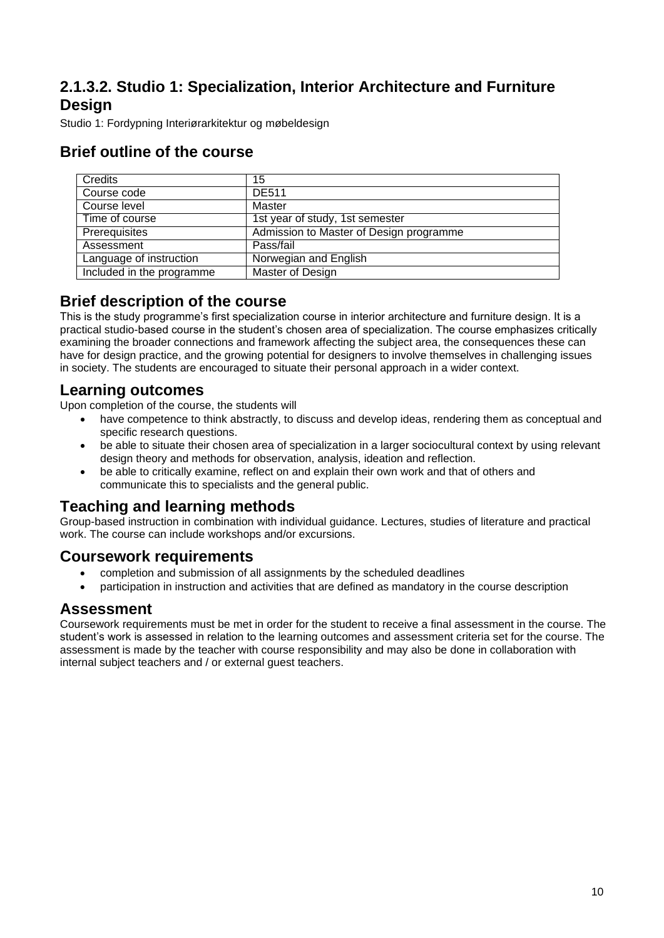# <span id="page-9-0"></span>**2.1.3.2. Studio 1: Specialization, Interior Architecture and Furniture Design**

Studio 1: Fordypning Interiørarkitektur og møbeldesign

# **Brief outline of the course**

| Credits                   | 15                                      |
|---------------------------|-----------------------------------------|
| Course code               | <b>DE511</b>                            |
| Course level              | Master                                  |
| Time of course            | 1st year of study, 1st semester         |
| Prerequisites             | Admission to Master of Design programme |
| Assessment                | Pass/fail                               |
| Language of instruction   | Norwegian and English                   |
| Included in the programme | Master of Design                        |

### **Brief description of the course**

This is the study programme's first specialization course in interior architecture and furniture design. It is a practical studio-based course in the student's chosen area of specialization. The course emphasizes critically examining the broader connections and framework affecting the subject area, the consequences these can have for design practice, and the growing potential for designers to involve themselves in challenging issues in society. The students are encouraged to situate their personal approach in a wider context.

#### **Learning outcomes**

Upon completion of the course, the students will

- have competence to think abstractly, to discuss and develop ideas, rendering them as conceptual and specific research questions.
- be able to situate their chosen area of specialization in a larger sociocultural context by using relevant design theory and methods for observation, analysis, ideation and reflection.
- be able to critically examine, reflect on and explain their own work and that of others and communicate this to specialists and the general public.

### **Teaching and learning methods**

Group-based instruction in combination with individual guidance. Lectures, studies of literature and practical work. The course can include workshops and/or excursions.

### **Coursework requirements**

- completion and submission of all assignments by the scheduled deadlines
- participation in instruction and activities that are defined as mandatory in the course description

#### **Assessment**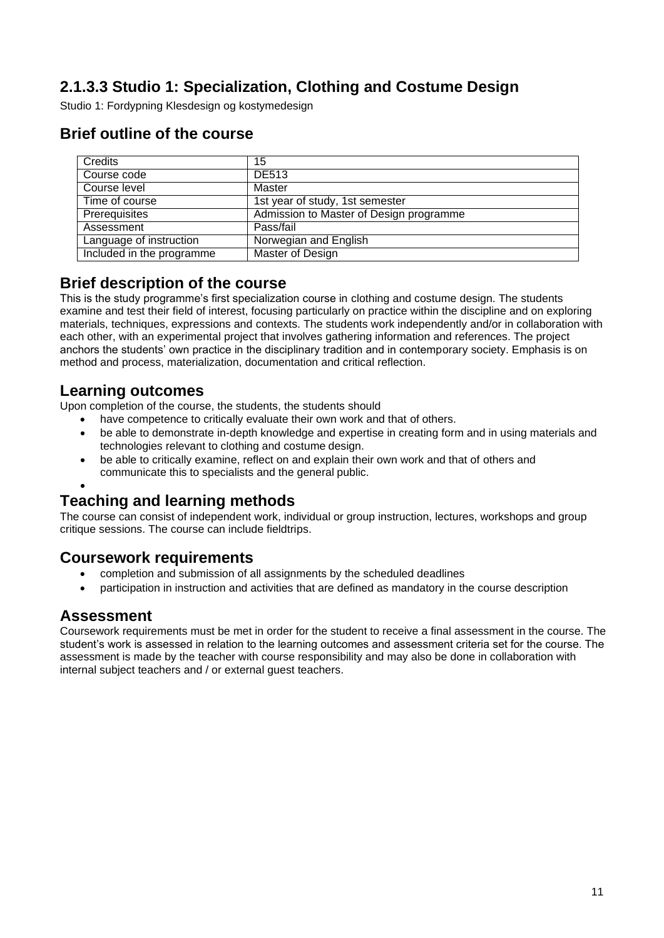# <span id="page-10-0"></span>**2.1.3.3 Studio 1: Specialization, Clothing and Costume Design**

Studio 1: Fordypning Klesdesign og kostymedesign

# **Brief outline of the course**

| Credits                   | 15                                      |
|---------------------------|-----------------------------------------|
| Course code               | <b>DE513</b>                            |
| Course level              | Master                                  |
| Time of course            | 1st year of study, 1st semester         |
| Prerequisites             | Admission to Master of Design programme |
| Assessment                | Pass/fail                               |
| Language of instruction   | Norwegian and English                   |
| Included in the programme | Master of Design                        |

### **Brief description of the course**

This is the study programme's first specialization course in clothing and costume design. The students examine and test their field of interest, focusing particularly on practice within the discipline and on exploring materials, techniques, expressions and contexts. The students work independently and/or in collaboration with each other, with an experimental project that involves gathering information and references. The project anchors the students' own practice in the disciplinary tradition and in contemporary society. Emphasis is on method and process, materialization, documentation and critical reflection.

### **Learning outcomes**

Upon completion of the course, the students, the students should

- have competence to critically evaluate their own work and that of others.
- be able to demonstrate in-depth knowledge and expertise in creating form and in using materials and technologies relevant to clothing and costume design.
- be able to critically examine, reflect on and explain their own work and that of others and communicate this to specialists and the general public.

#### • **Teaching and learning methods**

The course can consist of independent work, individual or group instruction, lectures, workshops and group critique sessions. The course can include fieldtrips.

### **Coursework requirements**

- completion and submission of all assignments by the scheduled deadlines
- participation in instruction and activities that are defined as mandatory in the course description

### **Assessment**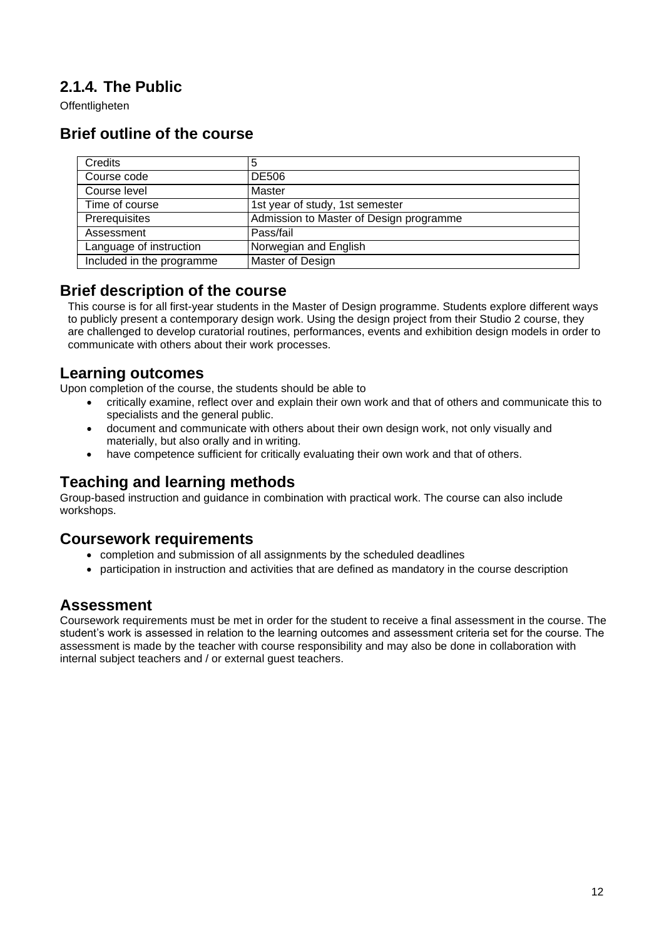# <span id="page-11-0"></span>**2.1.4. The Public**

Offentligheten

# **Brief outline of the course**

| <b>Credits</b>            | 5                                       |
|---------------------------|-----------------------------------------|
| Course code               | <b>DE506</b>                            |
| Course level              | Master                                  |
| Time of course            | 1st year of study, 1st semester         |
| Prerequisites             | Admission to Master of Design programme |
| Assessment                | Pass/fail                               |
| Language of instruction   | Norwegian and English                   |
| Included in the programme | Master of Design                        |

#### **Brief description of the course**

This course is for all first-year students in the Master of Design programme. Students explore different ways to publicly present a contemporary design work. Using the design project from their Studio 2 course, they are challenged to develop curatorial routines, performances, events and exhibition design models in order to communicate with others about their work processes.

#### **Learning outcomes**

Upon completion of the course, the students should be able to

- critically examine, reflect over and explain their own work and that of others and communicate this to specialists and the general public.
- document and communicate with others about their own design work, not only visually and materially, but also orally and in writing.
- have competence sufficient for critically evaluating their own work and that of others.

# **Teaching and learning methods**

Group-based instruction and guidance in combination with practical work. The course can also include workshops.

### **Coursework requirements**

- completion and submission of all assignments by the scheduled deadlines
- participation in instruction and activities that are defined as mandatory in the course description

### **Assessment**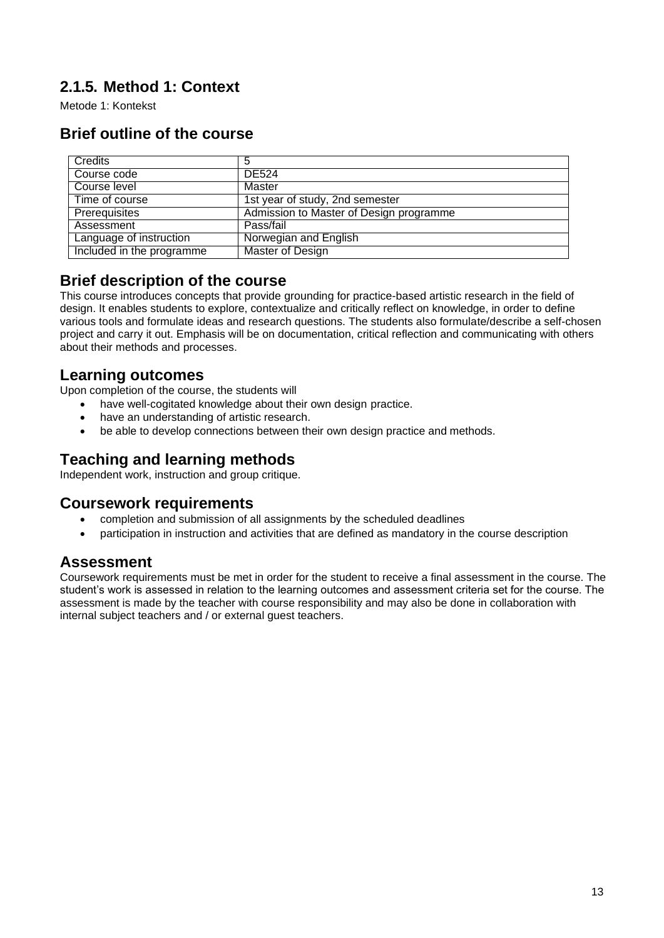# <span id="page-12-0"></span>**2.1.5. Method 1: Context**

Metode 1: Kontekst

# **Brief outline of the course**

| Credits                   | 5                                       |
|---------------------------|-----------------------------------------|
| Course code               | DE524                                   |
| Course level              | Master                                  |
| Time of course            | 1st year of study, 2nd semester         |
| Prerequisites             | Admission to Master of Design programme |
| Assessment                | Pass/fail                               |
| Language of instruction   | Norwegian and English                   |
| Included in the programme | Master of Design                        |

### **Brief description of the course**

This course introduces concepts that provide grounding for practice-based artistic research in the field of design. It enables students to explore, contextualize and critically reflect on knowledge, in order to define various tools and formulate ideas and research questions. The students also formulate/describe a self-chosen project and carry it out. Emphasis will be on documentation, critical reflection and communicating with others about their methods and processes.

#### **Learning outcomes**

Upon completion of the course, the students will

- have well-cogitated knowledge about their own design practice.
- have an understanding of artistic research.
- be able to develop connections between their own design practice and methods.

# **Teaching and learning methods**

Independent work, instruction and group critique.

#### **Coursework requirements**

- completion and submission of all assignments by the scheduled deadlines
- participation in instruction and activities that are defined as mandatory in the course description

# **Assessment**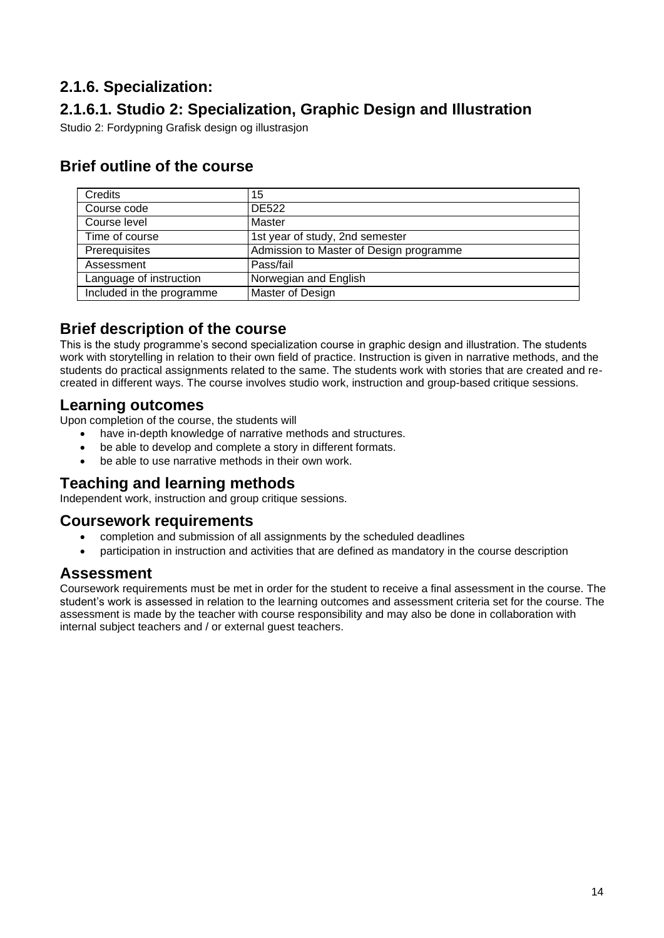# <span id="page-13-0"></span>**2.1.6. Specialization:**

# **2.1.6.1. Studio 2: Specialization, Graphic Design and Illustration**

Studio 2: Fordypning Grafisk design og illustrasjon

# **Brief outline of the course**

| Credits                   | 15                                      |
|---------------------------|-----------------------------------------|
| Course code               | <b>DE522</b>                            |
| Course level              | Master                                  |
| Time of course            | 1st year of study, 2nd semester         |
| Prerequisites             | Admission to Master of Design programme |
| Assessment                | Pass/fail                               |
| Language of instruction   | Norwegian and English                   |
| Included in the programme | Master of Design                        |

### **Brief description of the course**

This is the study programme's second specialization course in graphic design and illustration. The students work with storytelling in relation to their own field of practice. Instruction is given in narrative methods, and the students do practical assignments related to the same. The students work with stories that are created and recreated in different ways. The course involves studio work, instruction and group-based critique sessions.

### **Learning outcomes**

Upon completion of the course, the students will

- have in-depth knowledge of narrative methods and structures.
- be able to develop and complete a story in different formats.
- be able to use narrative methods in their own work.

# **Teaching and learning methods**

Independent work, instruction and group critique sessions.

### **Coursework requirements**

- completion and submission of all assignments by the scheduled deadlines
- participation in instruction and activities that are defined as mandatory in the course description

### **Assessment**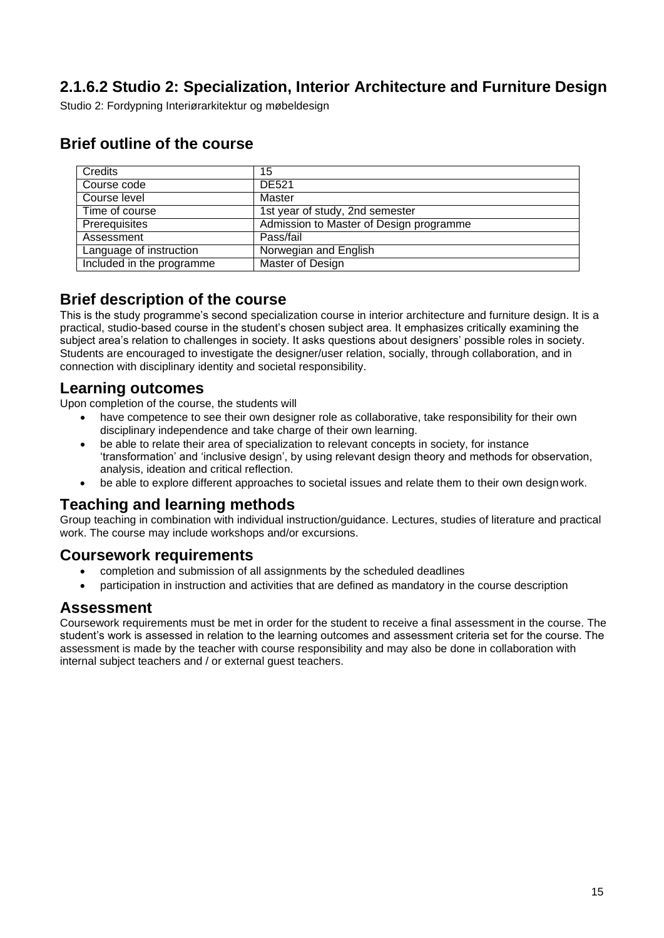# <span id="page-14-0"></span>**2.1.6.2 Studio 2: Specialization, Interior Architecture and Furniture Design**

Studio 2: Fordypning Interiørarkitektur og møbeldesign

| Credits                   | 15                                      |
|---------------------------|-----------------------------------------|
|                           |                                         |
| Course code               | DE521                                   |
|                           |                                         |
| Course level              | Master                                  |
|                           |                                         |
| Time of course            | 1st year of study, 2nd semester         |
|                           |                                         |
| Prerequisites             | Admission to Master of Design programme |
|                           |                                         |
| Assessment                | Pass/fail                               |
|                           |                                         |
| Language of instruction   | Norwegian and English                   |
|                           |                                         |
| Included in the programme | Master of Design                        |
|                           |                                         |

### **Brief outline of the course**

### **Brief description of the course**

This is the study programme's second specialization course in interior architecture and furniture design. It is a practical, studio-based course in the student's chosen subject area. It emphasizes critically examining the subject area's relation to challenges in society. It asks questions about designers' possible roles in society. Students are encouraged to investigate the designer/user relation, socially, through collaboration, and in connection with disciplinary identity and societal responsibility.

#### **Learning outcomes**

Upon completion of the course, the students will

- have competence to see their own designer role as collaborative, take responsibility for their own disciplinary independence and take charge of their own learning.
- be able to relate their area of specialization to relevant concepts in society, for instance 'transformation' and 'inclusive design', by using relevant design theory and methods for observation, analysis, ideation and critical reflection.
- be able to explore different approaches to societal issues and relate them to their own design work.

#### **Teaching and learning methods**

Group teaching in combination with individual instruction/guidance. Lectures, studies of literature and practical work. The course may include workshops and/or excursions.

### **Coursework requirements**

- completion and submission of all assignments by the scheduled deadlines
- participation in instruction and activities that are defined as mandatory in the course description

#### **Assessment**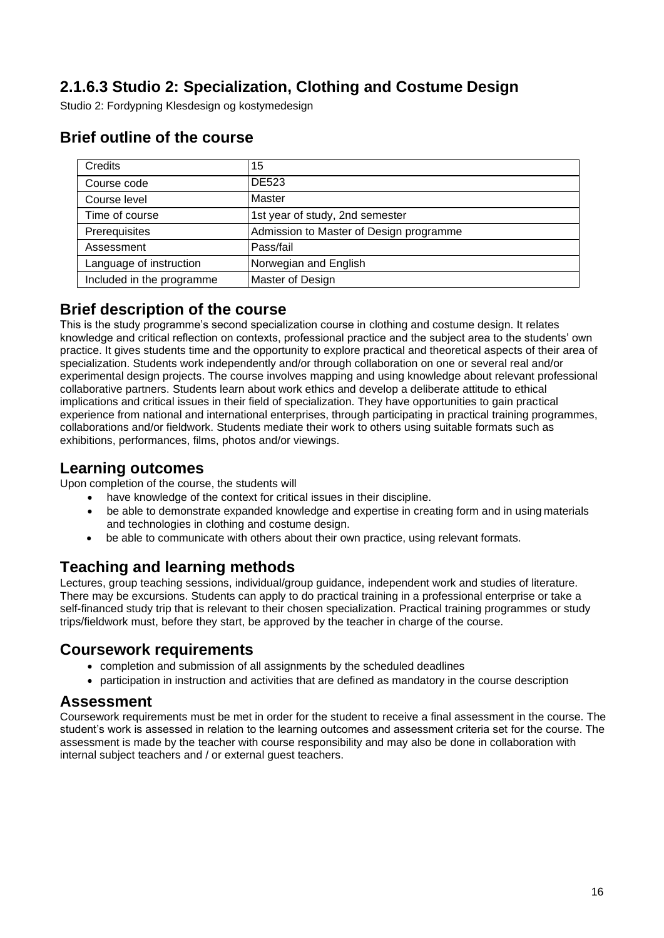# <span id="page-15-0"></span>**2.1.6.3 Studio 2: Specialization, Clothing and Costume Design**

Studio 2: Fordypning Klesdesign og kostymedesign

| Credits                   | 15                                      |
|---------------------------|-----------------------------------------|
| Course code               | <b>DE523</b>                            |
| Course level              | Master                                  |
| Time of course            | 1st year of study, 2nd semester         |
| Prerequisites             | Admission to Master of Design programme |
| Assessment                | Pass/fail                               |
| Language of instruction   | Norwegian and English                   |
| Included in the programme | Master of Design                        |

### **Brief outline of the course**

#### **Brief description of the course**

This is the study programme's second specialization course in clothing and costume design. It relates knowledge and critical reflection on contexts, professional practice and the subject area to the students' own practice. It gives students time and the opportunity to explore practical and theoretical aspects of their area of specialization. Students work independently and/or through collaboration on one or several real and/or experimental design projects. The course involves mapping and using knowledge about relevant professional collaborative partners. Students learn about work ethics and develop a deliberate attitude to ethical implications and critical issues in their field of specialization. They have opportunities to gain practical experience from national and international enterprises, through participating in practical training programmes, collaborations and/or fieldwork. Students mediate their work to others using suitable formats such as exhibitions, performances, films, photos and/or viewings.

#### **Learning outcomes**

Upon completion of the course, the students will

- have knowledge of the context for critical issues in their discipline.
- be able to demonstrate expanded knowledge and expertise in creating form and in using materials and technologies in clothing and costume design.
- be able to communicate with others about their own practice, using relevant formats.

# **Teaching and learning methods**

Lectures, group teaching sessions, individual/group guidance, independent work and studies of literature. There may be excursions. Students can apply to do practical training in a professional enterprise or take a self-financed study trip that is relevant to their chosen specialization. Practical training programmes or study trips/fieldwork must, before they start, be approved by the teacher in charge of the course.

#### **Coursework requirements**

- completion and submission of all assignments by the scheduled deadlines
- participation in instruction and activities that are defined as mandatory in the course description

#### **Assessment**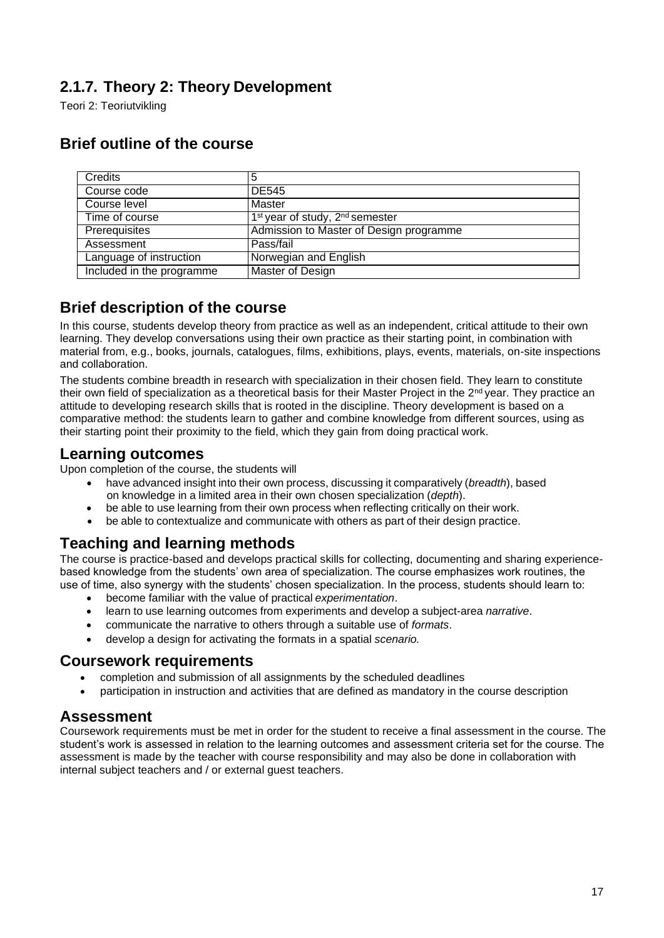# <span id="page-16-0"></span>**2.1.7. Theory 2: Theory Development**

Teori 2: Teoriutvikling

| <b>Credits</b>            | 5                                                       |
|---------------------------|---------------------------------------------------------|
| Course code               | DE545                                                   |
| Course level              | Master                                                  |
| Time of course            | 1 <sup>st</sup> year of study, 2 <sup>nd</sup> semester |
| Prerequisites             | Admission to Master of Design programme                 |
| Assessment                | Pass/fail                                               |
| Language of instruction   | Norwegian and English                                   |
| Included in the programme | Master of Design                                        |

# **Brief outline of the course**

### **Brief description of the course**

In this course, students develop theory from practice as well as an independent, critical attitude to their own learning. They develop conversations using their own practice as their starting point, in combination with material from, e.g., books, journals, catalogues, films, exhibitions, plays, events, materials, on-site inspections and collaboration.

The students combine breadth in research with specialization in their chosen field. They learn to constitute their own field of specialization as a theoretical basis for their Master Project in the 2<sup>nd</sup> year. They practice an attitude to developing research skills that is rooted in the discipline. Theory development is based on a comparative method: the students learn to gather and combine knowledge from different sources, using as their starting point their proximity to the field, which they gain from doing practical work.

### **Learning outcomes**

Upon completion of the course, the students will

- have advanced insight into their own process, discussing it comparatively (*breadth*), based on knowledge in a limited area in their own chosen specialization (*depth*).
- be able to use learning from their own process when reflecting critically on their work.
- be able to contextualize and communicate with others as part of their design practice.

### **Teaching and learning methods**

The course is practice-based and develops practical skills for collecting, documenting and sharing experiencebased knowledge from the students' own area of specialization. The course emphasizes work routines, the use of time, also synergy with the students' chosen specialization. In the process, students should learn to:

- become familiar with the value of practical *experimentation*.
- learn to use learning outcomes from experiments and develop a subject-area *narrative*.
- communicate the narrative to others through a suitable use of *formats*.
- develop a design for activating the formats in a spatial *scenario.*

#### **Coursework requirements**

- completion and submission of all assignments by the scheduled deadlines
- participation in instruction and activities that are defined as mandatory in the course description

### **Assessment**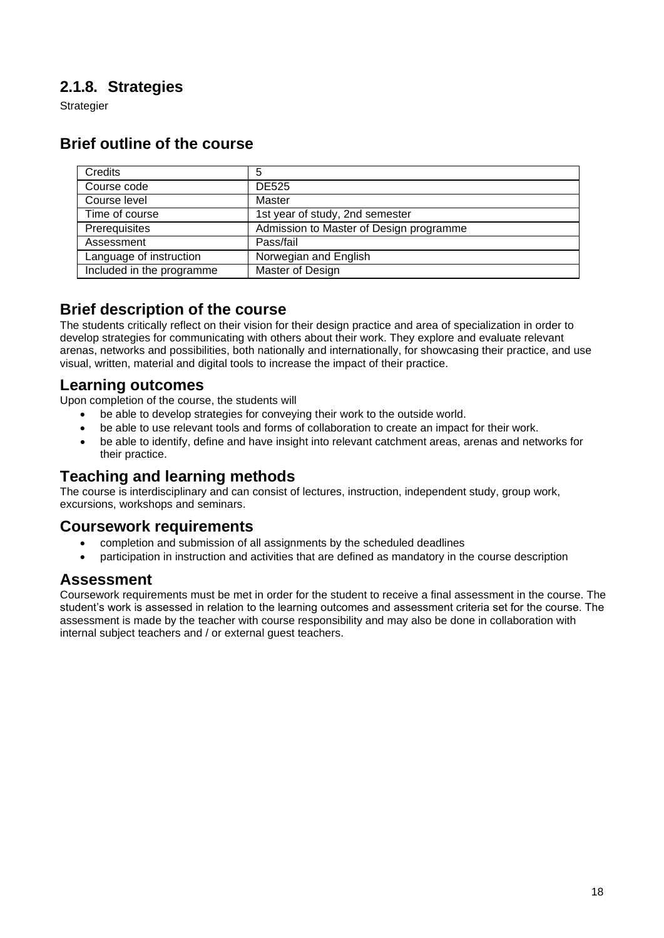# <span id="page-17-0"></span>**2.1.8. Strategies**

**Strategier** 

| Credits                   | 5                                       |
|---------------------------|-----------------------------------------|
| Course code               | <b>DE525</b>                            |
| Course level              | Master                                  |
| Time of course            | 1st year of study, 2nd semester         |
| Prerequisites             | Admission to Master of Design programme |
| Assessment                | Pass/fail                               |
| Language of instruction   | Norwegian and English                   |
| Included in the programme | Master of Design                        |

# **Brief outline of the course**

#### **Brief description of the course**

The students critically reflect on their vision for their design practice and area of specialization in order to develop strategies for communicating with others about their work. They explore and evaluate relevant arenas, networks and possibilities, both nationally and internationally, for showcasing their practice, and use visual, written, material and digital tools to increase the impact of their practice.

### **Learning outcomes**

Upon completion of the course, the students will

- be able to develop strategies for conveying their work to the outside world.
- be able to use relevant tools and forms of collaboration to create an impact for their work.
- be able to identify, define and have insight into relevant catchment areas, arenas and networks for their practice.

# **Teaching and learning methods**

The course is interdisciplinary and can consist of lectures, instruction, independent study, group work, excursions, workshops and seminars.

#### **Coursework requirements**

- completion and submission of all assignments by the scheduled deadlines
- participation in instruction and activities that are defined as mandatory in the course description

### **Assessment**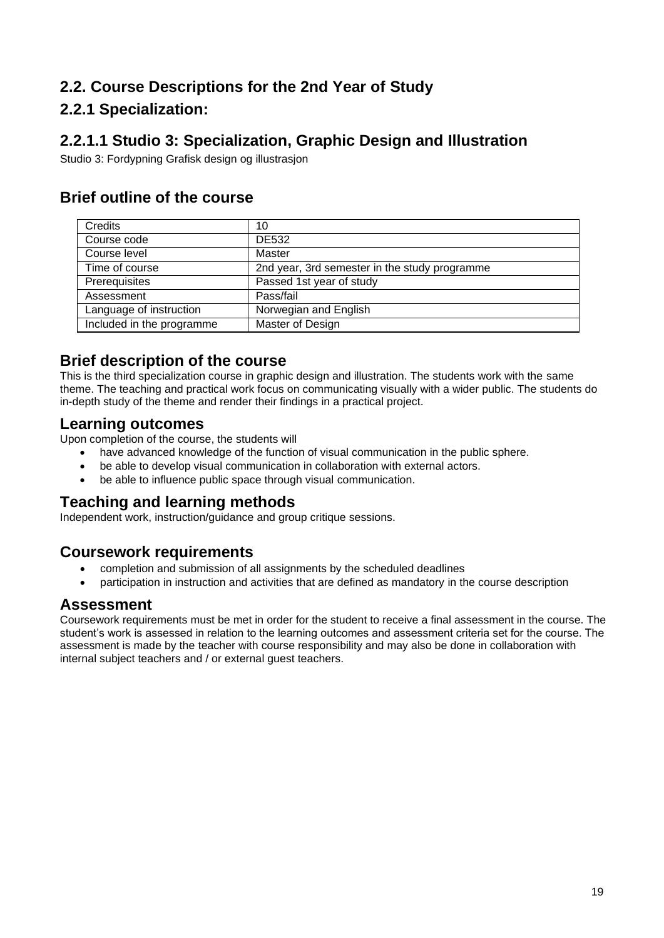# <span id="page-18-0"></span>**2.2. Course Descriptions for the 2nd Year of Study**

# **2.2.1 Specialization:**

# <span id="page-18-1"></span>**2.2.1.1 Studio 3: Specialization, Graphic Design and Illustration**

Studio 3: Fordypning Grafisk design og illustrasjon

# **Brief outline of the course**

| Credits                   | 10                                            |
|---------------------------|-----------------------------------------------|
| Course code               | <b>DE532</b>                                  |
| Course level              | Master                                        |
| Time of course            | 2nd year, 3rd semester in the study programme |
| Prerequisites             | Passed 1st year of study                      |
| Assessment                | Pass/fail                                     |
| Language of instruction   | Norwegian and English                         |
| Included in the programme | Master of Design                              |

### **Brief description of the course**

This is the third specialization course in graphic design and illustration. The students work with the same theme. The teaching and practical work focus on communicating visually with a wider public. The students do in-depth study of the theme and render their findings in a practical project.

#### **Learning outcomes**

Upon completion of the course, the students will

- have advanced knowledge of the function of visual communication in the public sphere.
- be able to develop visual communication in collaboration with external actors.
- be able to influence public space through visual communication.

# **Teaching and learning methods**

Independent work, instruction/guidance and group critique sessions.

### **Coursework requirements**

- completion and submission of all assignments by the scheduled deadlines
- participation in instruction and activities that are defined as mandatory in the course description

#### **Assessment**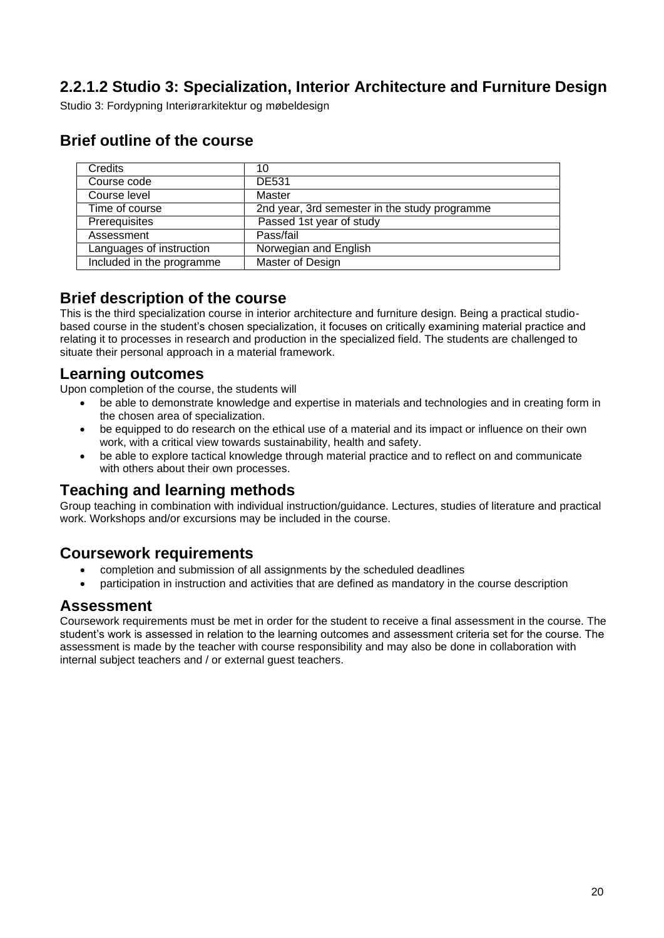# <span id="page-19-0"></span>**2.2.1.2 Studio 3: Specialization, Interior Architecture and Furniture Design**

Studio 3: Fordypning Interiørarkitektur og møbeldesign

### **Brief outline of the course**

| Credits                   | 10                                            |
|---------------------------|-----------------------------------------------|
| Course code               | <b>DE531</b>                                  |
| Course level              | Master                                        |
| Time of course            | 2nd year, 3rd semester in the study programme |
| Prerequisites             | Passed 1st year of study                      |
| Assessment                | Pass/fail                                     |
| Languages of instruction  | Norwegian and English                         |
| Included in the programme | Master of Design                              |

#### **Brief description of the course**

This is the third specialization course in interior architecture and furniture design. Being a practical studiobased course in the student's chosen specialization, it focuses on critically examining material practice and relating it to processes in research and production in the specialized field. The students are challenged to situate their personal approach in a material framework.

#### **Learning outcomes**

Upon completion of the course, the students will

- be able to demonstrate knowledge and expertise in materials and technologies and in creating form in the chosen area of specialization.
- be equipped to do research on the ethical use of a material and its impact or influence on their own work, with a critical view towards sustainability, health and safety.
- be able to explore tactical knowledge through material practice and to reflect on and communicate with others about their own processes.

### **Teaching and learning methods**

Group teaching in combination with individual instruction/guidance. Lectures, studies of literature and practical work. Workshops and/or excursions may be included in the course.

#### **Coursework requirements**

- completion and submission of all assignments by the scheduled deadlines
- participation in instruction and activities that are defined as mandatory in the course description

#### **Assessment**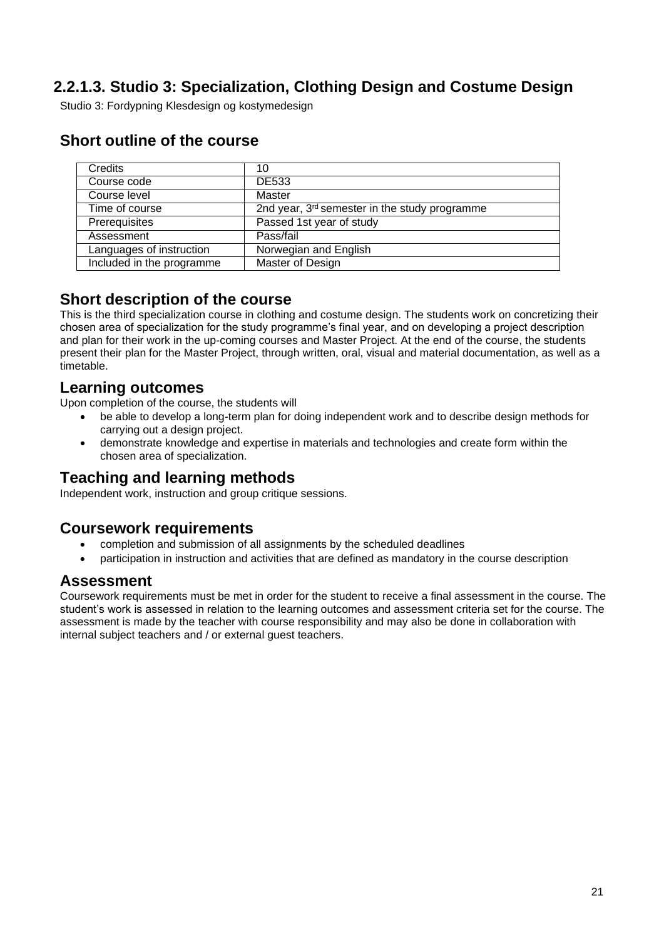# <span id="page-20-0"></span>**2.2.1.3. Studio 3: Specialization, Clothing Design and Costume Design**

Studio 3: Fordypning Klesdesign og kostymedesign

| Credits                   | 10                                                        |
|---------------------------|-----------------------------------------------------------|
| Course code               | <b>DE533</b>                                              |
| Course level              | Master                                                    |
| Time of course            | 2nd year, 3 <sup>rd</sup> semester in the study programme |
| Prerequisites             | Passed 1st year of study                                  |
| Assessment                | Pass/fail                                                 |
| Languages of instruction  | Norwegian and English                                     |
| Included in the programme | Master of Design                                          |

### **Short outline of the course**

### **Short description of the course**

This is the third specialization course in clothing and costume design. The students work on concretizing their chosen area of specialization for the study programme's final year, and on developing a project description and plan for their work in the up-coming courses and Master Project. At the end of the course, the students present their plan for the Master Project, through written, oral, visual and material documentation, as well as a timetable.

#### **Learning outcomes**

Upon completion of the course, the students will

- be able to develop a long-term plan for doing independent work and to describe design methods for carrying out a design project.
- demonstrate knowledge and expertise in materials and technologies and create form within the chosen area of specialization.

# **Teaching and learning methods**

Independent work, instruction and group critique sessions.

### **Coursework requirements**

- completion and submission of all assignments by the scheduled deadlines
- participation in instruction and activities that are defined as mandatory in the course description

### **Assessment**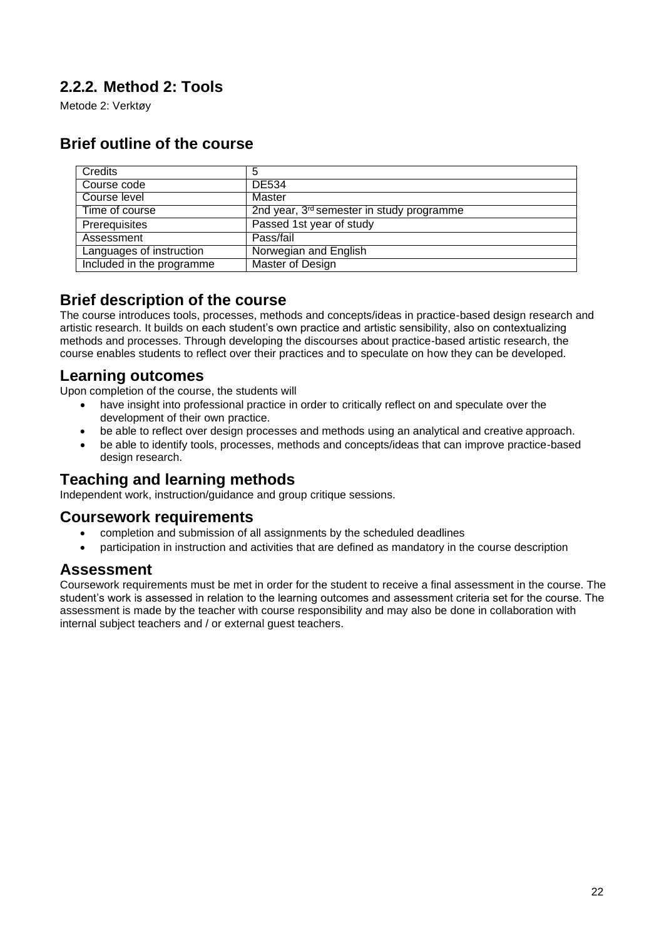# <span id="page-21-0"></span>**2.2.2. Method 2: Tools**

Metode 2: Verktøy

# **Brief outline of the course**

| Credits                   | 5                                                     |
|---------------------------|-------------------------------------------------------|
| Course code               | <b>DE534</b>                                          |
| Course level              | Master                                                |
| Time of course            | 2nd year, 3 <sup>rd</sup> semester in study programme |
| Prerequisites             | Passed 1st year of study                              |
| Assessment                | Pass/fail                                             |
| Languages of instruction  | Norwegian and English                                 |
| Included in the programme | Master of Design                                      |

### **Brief description of the course**

The course introduces tools, processes, methods and concepts/ideas in practice-based design research and artistic research. It builds on each student's own practice and artistic sensibility, also on contextualizing methods and processes. Through developing the discourses about practice-based artistic research, the course enables students to reflect over their practices and to speculate on how they can be developed.

#### **Learning outcomes**

Upon completion of the course, the students will

- have insight into professional practice in order to critically reflect on and speculate over the development of their own practice.
- be able to reflect over design processes and methods using an analytical and creative approach.
- be able to identify tools, processes, methods and concepts/ideas that can improve practice-based design research.

# **Teaching and learning methods**

Independent work, instruction/guidance and group critique sessions.

#### **Coursework requirements**

- completion and submission of all assignments by the scheduled deadlines
- participation in instruction and activities that are defined as mandatory in the course description

#### **Assessment**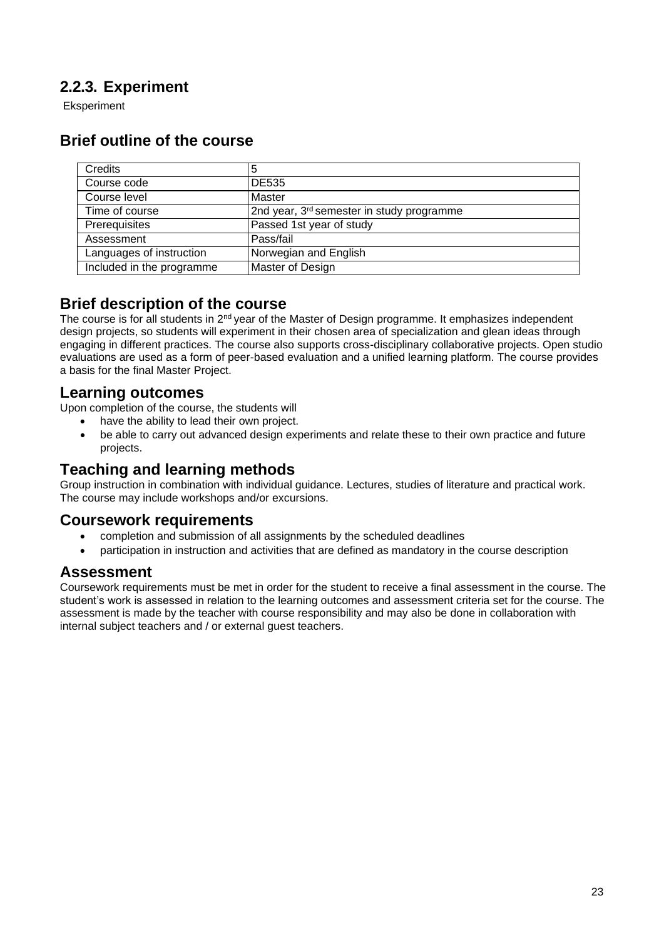# <span id="page-22-0"></span>**2.2.3. Experiment**

Eksperiment

# **Brief outline of the course**

| Credits                   | 5                                                     |
|---------------------------|-------------------------------------------------------|
| Course code               | <b>DE535</b>                                          |
| Course level              | Master                                                |
| Time of course            | 2nd year, 3 <sup>rd</sup> semester in study programme |
| Prerequisites             | Passed 1st year of study                              |
| Assessment                | Pass/fail                                             |
| Languages of instruction  | Norwegian and English                                 |
| Included in the programme | Master of Design                                      |

### **Brief description of the course**

The course is for all students in 2<sup>nd</sup> year of the Master of Design programme. It emphasizes independent design projects, so students will experiment in their chosen area of specialization and glean ideas through engaging in different practices. The course also supports cross-disciplinary collaborative projects. Open studio evaluations are used as a form of peer-based evaluation and a unified learning platform. The course provides a basis for the final Master Project.

#### **Learning outcomes**

Upon completion of the course, the students will

- have the ability to lead their own project.
- be able to carry out advanced design experiments and relate these to their own practice and future projects.

### **Teaching and learning methods**

Group instruction in combination with individual guidance. Lectures, studies of literature and practical work. The course may include workshops and/or excursions.

#### **Coursework requirements**

- completion and submission of all assignments by the scheduled deadlines
- participation in instruction and activities that are defined as mandatory in the course description

### **Assessment**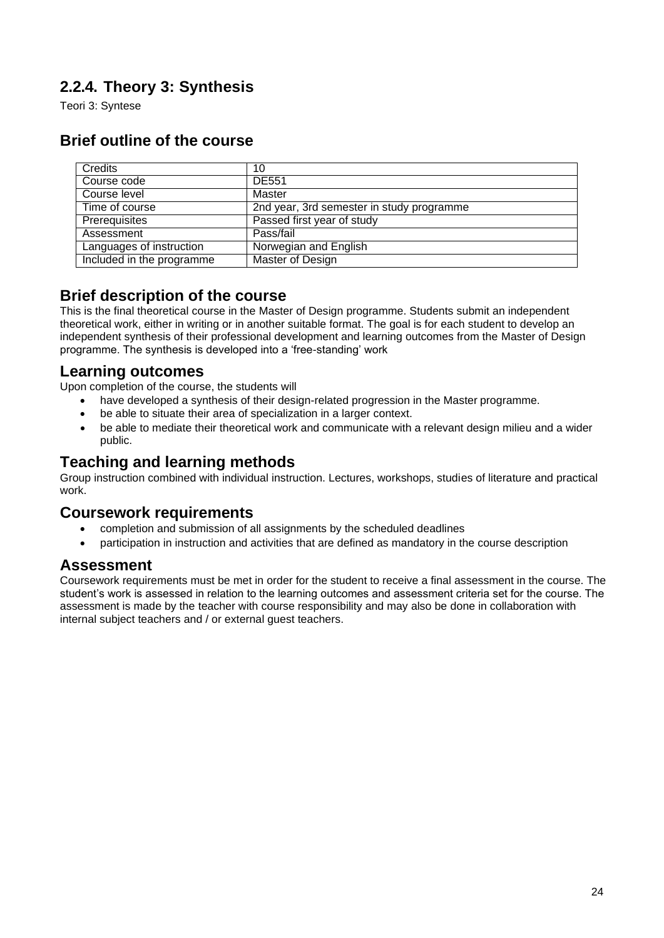# <span id="page-23-0"></span>**2.2.4. Theory 3: Synthesis**

Teori 3: Syntese

# **Brief outline of the course**

| <b>Credits</b>            | 10                                        |
|---------------------------|-------------------------------------------|
| Course code               | DE551                                     |
| Course level              | Master                                    |
| Time of course            | 2nd year, 3rd semester in study programme |
| Prerequisites             | Passed first year of study                |
| Assessment                | Pass/fail                                 |
| Languages of instruction  | Norwegian and English                     |
| Included in the programme | Master of Design                          |

#### **Brief description of the course**

This is the final theoretical course in the Master of Design programme. Students submit an independent theoretical work, either in writing or in another suitable format. The goal is for each student to develop an independent synthesis of their professional development and learning outcomes from the Master of Design programme. The synthesis is developed into a 'free-standing' work

#### **Learning outcomes**

Upon completion of the course, the students will

- have developed a synthesis of their design-related progression in the Master programme.
- be able to situate their area of specialization in a larger context.
- be able to mediate their theoretical work and communicate with a relevant design milieu and a wider public.

### **Teaching and learning methods**

Group instruction combined with individual instruction. Lectures, workshops, studies of literature and practical work.

#### **Coursework requirements**

- completion and submission of all assignments by the scheduled deadlines
- participation in instruction and activities that are defined as mandatory in the course description

#### **Assessment**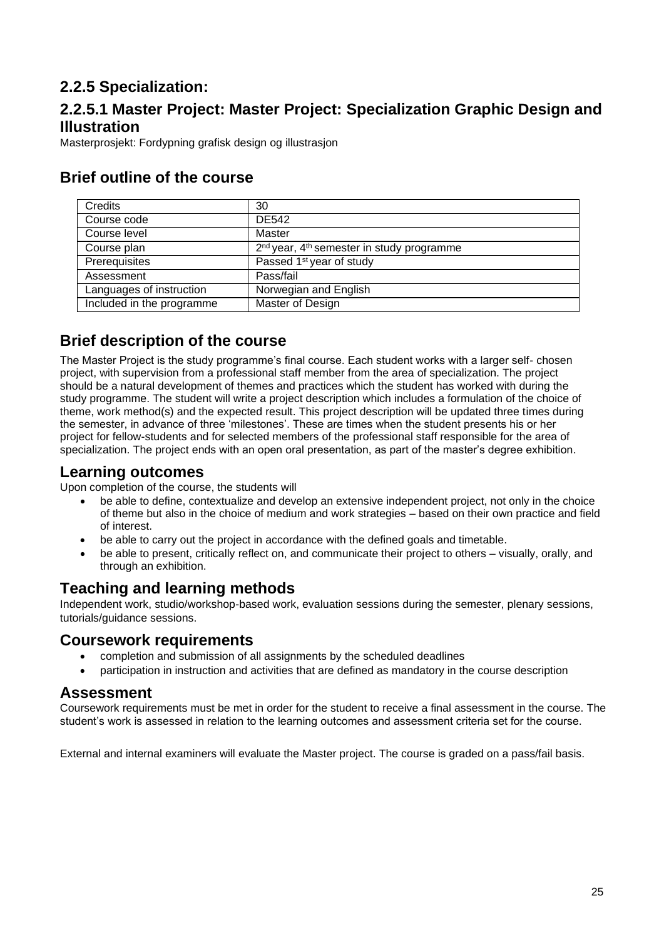# <span id="page-24-0"></span>**2.2.5 Specialization:**

# <span id="page-24-1"></span>**2.2.5.1 Master Project: Master Project: Specialization Graphic Design and Illustration**

Masterprosjekt: Fordypning grafisk design og illustrasjon

| Credits                   | 30                                                                |
|---------------------------|-------------------------------------------------------------------|
| Course code               | <b>DE542</b>                                                      |
| Course level              | Master                                                            |
| Course plan               | 2 <sup>nd</sup> year, 4 <sup>th</sup> semester in study programme |
| Prerequisites             | Passed 1 <sup>st</sup> year of study                              |
| Assessment                | Pass/fail                                                         |
| Languages of instruction  | Norwegian and English                                             |
| Included in the programme | Master of Design                                                  |

# **Brief outline of the course**

# **Brief description of the course**

The Master Project is the study programme's final course. Each student works with a larger self- chosen project, with supervision from a professional staff member from the area of specialization. The project should be a natural development of themes and practices which the student has worked with during the study programme. The student will write a project description which includes a formulation of the choice of theme, work method(s) and the expected result. This project description will be updated three times during the semester, in advance of three 'milestones'. These are times when the student presents his or her project for fellow-students and for selected members of the professional staff responsible for the area of specialization. The project ends with an open oral presentation, as part of the master's degree exhibition.

### **Learning outcomes**

Upon completion of the course, the students will

- be able to define, contextualize and develop an extensive independent project, not only in the choice of theme but also in the choice of medium and work strategies – based on their own practice and field of interest.
- be able to carry out the project in accordance with the defined goals and timetable.
- be able to present, critically reflect on, and communicate their project to others visually, orally, and through an exhibition.

### **Teaching and learning methods**

Independent work, studio/workshop-based work, evaluation sessions during the semester, plenary sessions, tutorials/guidance sessions.

#### **Coursework requirements**

- completion and submission of all assignments by the scheduled deadlines
- participation in instruction and activities that are defined as mandatory in the course description

#### **Assessment**

Coursework requirements must be met in order for the student to receive a final assessment in the course. The student's work is assessed in relation to the learning outcomes and assessment criteria set for the course.

External and internal examiners will evaluate the Master project. The course is graded on a pass/fail basis.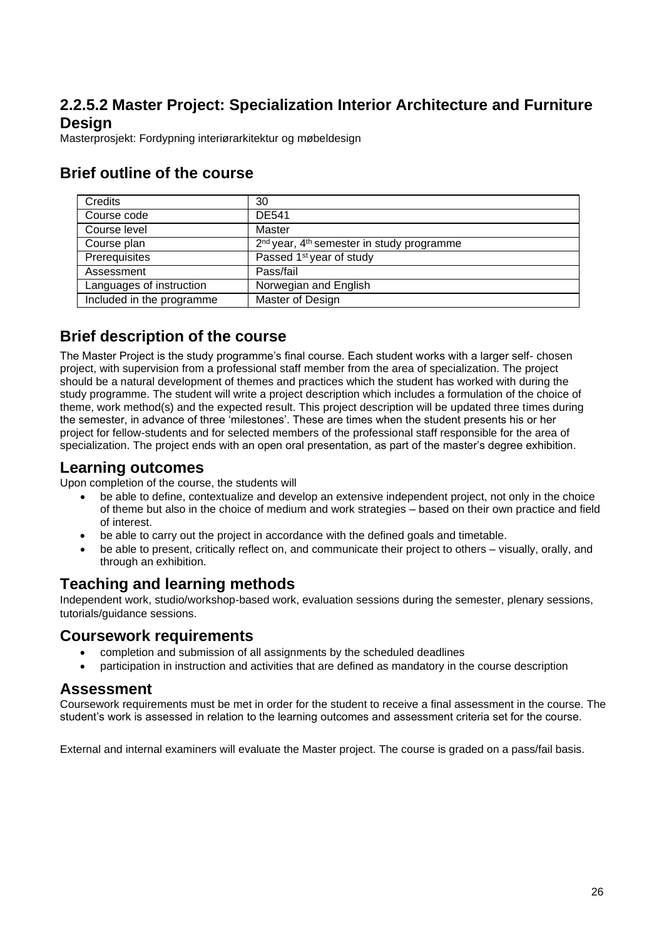### <span id="page-25-0"></span>**2.2.5.2 Master Project: Specialization Interior Architecture and Furniture Design**

Masterprosjekt: Fordypning interiørarkitektur og møbeldesign

| Credits                   | 30                                                                |
|---------------------------|-------------------------------------------------------------------|
| Course code               | <b>DE541</b>                                                      |
| Course level              | Master                                                            |
| Course plan               | 2 <sup>nd</sup> year, 4 <sup>th</sup> semester in study programme |
| Prerequisites             | Passed 1 <sup>st</sup> year of study                              |
| Assessment                | Pass/fail                                                         |
| Languages of instruction  | Norwegian and English                                             |
| Included in the programme | Master of Design                                                  |

### **Brief outline of the course**

# **Brief description of the course**

The Master Project is the study programme's final course. Each student works with a larger self- chosen project, with supervision from a professional staff member from the area of specialization. The project should be a natural development of themes and practices which the student has worked with during the study programme. The student will write a project description which includes a formulation of the choice of theme, work method(s) and the expected result. This project description will be updated three times during the semester, in advance of three 'milestones'. These are times when the student presents his or her project for fellow-students and for selected members of the professional staff responsible for the area of specialization. The project ends with an open oral presentation, as part of the master's degree exhibition.

#### **Learning outcomes**

Upon completion of the course, the students will

- be able to define, contextualize and develop an extensive independent project, not only in the choice of theme but also in the choice of medium and work strategies – based on their own practice and field of interest.
- be able to carry out the project in accordance with the defined goals and timetable.
- be able to present, critically reflect on, and communicate their project to others visually, orally, and through an exhibition.

#### **Teaching and learning methods**

Independent work, studio/workshop-based work, evaluation sessions during the semester, plenary sessions, tutorials/guidance sessions.

#### **Coursework requirements**

- completion and submission of all assignments by the scheduled deadlines
- participation in instruction and activities that are defined as mandatory in the course description

#### **Assessment**

Coursework requirements must be met in order for the student to receive a final assessment in the course. The student's work is assessed in relation to the learning outcomes and assessment criteria set for the course.

External and internal examiners will evaluate the Master project. The course is graded on a pass/fail basis.